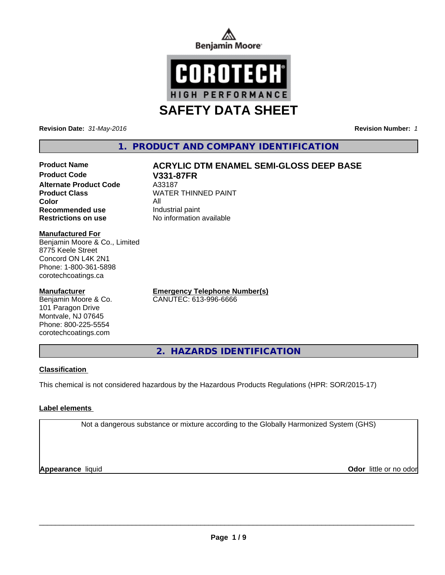



**Revision Date:** *31-May-2016* **Revision Number:** *1*

### **1. PRODUCT AND COMPANY IDENTIFICATION**

# **Product Name ACRYLIC DTM ENAMEL SEMI-GLOSS DEEP BASE**

**Product Code V331-87FR Alternate Product Code** A33187<br> **Product Class** MATER **Color** All **Recommended use** Industrial paint **Restrictions on use** No information available

**WATER THINNED PAINT** 

#### **Manufactured For**

Benjamin Moore & Co., Limited 8775 Keele Street Concord ON L4K 2N1 Phone: 1-800-361-5898 corotechcoatings.ca

#### **Manufacturer**

Benjamin Moore & Co. 101 Paragon Drive Montvale, NJ 07645 Phone: 800-225-5554 corotechcoatings.com

**Emergency Telephone Number(s)** CANUTEC: 613-996-6666

**2. HAZARDS IDENTIFICATION**

#### **Classification**

This chemical is not considered hazardous by the Hazardous Products Regulations (HPR: SOR/2015-17)

#### **Label elements**

Not a dangerous substance or mixture according to the Globally Harmonized System (GHS)

**Appearance** liquid

**Odor** little or no odor

 $\overline{\phantom{a}}$  ,  $\overline{\phantom{a}}$  ,  $\overline{\phantom{a}}$  ,  $\overline{\phantom{a}}$  ,  $\overline{\phantom{a}}$  ,  $\overline{\phantom{a}}$  ,  $\overline{\phantom{a}}$  ,  $\overline{\phantom{a}}$  ,  $\overline{\phantom{a}}$  ,  $\overline{\phantom{a}}$  ,  $\overline{\phantom{a}}$  ,  $\overline{\phantom{a}}$  ,  $\overline{\phantom{a}}$  ,  $\overline{\phantom{a}}$  ,  $\overline{\phantom{a}}$  ,  $\overline{\phantom{a}}$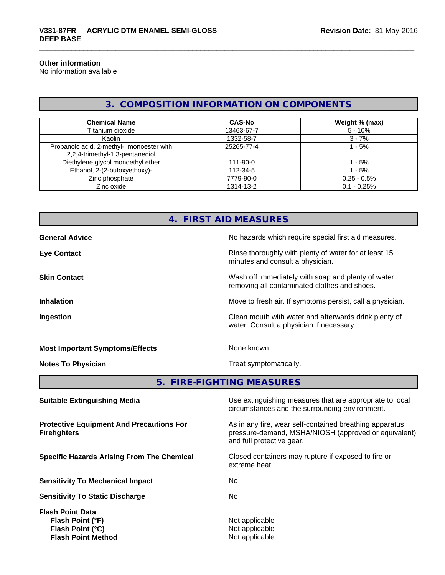#### **Other information**

No information available

### **3. COMPOSITION INFORMATION ON COMPONENTS**

| <b>Chemical Name</b>                                                         | <b>CAS-No</b> | Weight % (max) |
|------------------------------------------------------------------------------|---------------|----------------|
| Titanium dioxide                                                             | 13463-67-7    | $5 - 10%$      |
| Kaolin                                                                       | 1332-58-7     | $3 - 7%$       |
| Propanoic acid, 2-methyl-, monoester with<br>2,2,4-trimethyl-1,3-pentanediol | 25265-77-4    | 1 - 5%         |
| Diethylene glycol monoethyl ether                                            | 111-90-0      | l - 5%         |
| Ethanol, 2-(2-butoxyethoxy)-                                                 | 112-34-5      | 1 - 5%         |
| Zinc phosphate                                                               | 7779-90-0     | $0.25 - 0.5%$  |
| Zinc oxide                                                                   | 1314-13-2     | $0.1 - 0.25%$  |

## **4. FIRST AID MEASURES**

| <b>General Advice</b>                  | No hazards which require special first aid measures.                                               |
|----------------------------------------|----------------------------------------------------------------------------------------------------|
| <b>Eye Contact</b>                     | Rinse thoroughly with plenty of water for at least 15<br>minutes and consult a physician.          |
| <b>Skin Contact</b>                    | Wash off immediately with soap and plenty of water<br>removing all contaminated clothes and shoes. |
| <b>Inhalation</b>                      | Move to fresh air. If symptoms persist, call a physician.                                          |
| Ingestion                              | Clean mouth with water and afterwards drink plenty of<br>water. Consult a physician if necessary.  |
| <b>Most Important Symptoms/Effects</b> | None known.                                                                                        |
| <b>Notes To Physician</b>              | Treat symptomatically.                                                                             |

#### **5. FIRE-FIGHTING MEASURES**

| Use extinguishing measures that are appropriate to local<br>circumstances and the surrounding environment.                                   |
|----------------------------------------------------------------------------------------------------------------------------------------------|
| As in any fire, wear self-contained breathing apparatus<br>pressure-demand, MSHA/NIOSH (approved or equivalent)<br>and full protective gear. |
| Closed containers may rupture if exposed to fire or<br>extreme heat.                                                                         |
| No.                                                                                                                                          |
| No.                                                                                                                                          |
| Not applicable<br>Not applicable<br>Not applicable                                                                                           |
|                                                                                                                                              |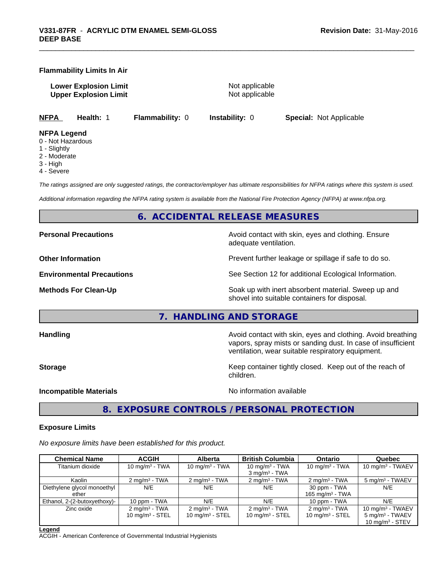#### **Flammability Limits In Air**

**Lower Explosion Limit** Not applicable **Upper Explosion Limit** Not applicable

**NFPA Health:** 1 **Flammability:** 0 **Instability:** 0 **Special:** Not Applicable

#### **NFPA Legend**

- 0 Not Hazardous
- 1 Slightly
- 2 Moderate
- 3 High
- 4 Severe

*The ratings assigned are only suggested ratings, the contractor/employer has ultimate responsibilities for NFPA ratings where this system is used.*

*Additional information regarding the NFPA rating system is available from the National Fire Protection Agency (NFPA) at www.nfpa.org.*

#### **6. ACCIDENTAL RELEASE MEASURES**

**Personal Precautions Precautions Personal Precautions Avoid contact with skin, eyes and clothing. Ensure** adequate ventilation.

**Other Information Department Information Department Intervent further leakage or spillage if safe to do so.** 

**Environmental Precautions** See Section 12 for additional Ecological Information.

**Methods For Clean-Up Example 20 All 20 All 20 All 20 All 20 All 20 Soak up with inert absorbent material. Sweep up and** shovel into suitable containers for disposal.

**7. HANDLING AND STORAGE**

**Handling Handling Avoid contact with skin, eyes and clothing. Avoid breathing Handling Avoid breathing Avoid breathing** vapors, spray mists or sanding dust. In case of insufficient ventilation, wear suitable respiratory equipment.

**Storage Keep container tightly closed. Keep out of the reach of Keep** container tightly closed. Keep out of the reach of children.

**Incompatible Materials** Noinformation available

**8. EXPOSURE CONTROLS / PERSONAL PROTECTION**

#### **Exposure Limits**

*No exposure limits have been established for this product.*

| <b>Chemical Name</b>         | <b>ACGIH</b>             | <b>Alberta</b>           | <b>British Columbia</b>  | <b>Ontario</b>              | Quebec                      |
|------------------------------|--------------------------|--------------------------|--------------------------|-----------------------------|-----------------------------|
| Titanium dioxide             | 10 $mq/m3$ - TWA         | 10 mg/m $3$ - TWA        | 10 mg/m $3$ - TWA        | 10 mg/m $3$ - TWA           | 10 mg/m $3$ - TWAEV         |
|                              |                          |                          | $3 \text{ mg/m}^3$ - TWA |                             |                             |
| Kaolin                       | $2 \text{ ma/m}^3$ - TWA | $2 \text{ ma/m}^3$ - TWA | $2 \text{ ma/m}^3$ - TWA | $2 \text{ ma/m}^3$ - TWA    | 5 mg/m <sup>3</sup> - TWAEV |
| Diethylene glycol monoethyl  | N/E                      | N/E                      | N/E                      | 30 ppm - TWA                | N/E                         |
| ether                        |                          |                          |                          | 165 mg/m <sup>3</sup> - TWA |                             |
| Ethanol, 2-(2-butoxyethoxy)- | 10 ppm - TWA             | N/E                      | N/E                      | 10 ppm - TWA                | N/E                         |
| Zinc oxide                   | $2 \text{ ma/m}^3$ - TWA | $2 \text{ ma/m}^3$ - TWA | $2 \text{ ma/m}^3$ - TWA | $2 \text{ mg/m}^3$ - TWA    | 10 mg/m $3$ - TWAEV         |
|                              | 10 mg/m $3 -$ STEL       | 10 $mq/m3$ - STEL        | 10 mg/m $3 -$ STEL       | 10 mg/m $3 -$ STEL          | $5 \text{ mg/m}^3$ - TWAEV  |
|                              |                          |                          |                          |                             | 10 $mq/m3$ - STEV           |

**Legend**

ACGIH - American Conference of Governmental Industrial Hygienists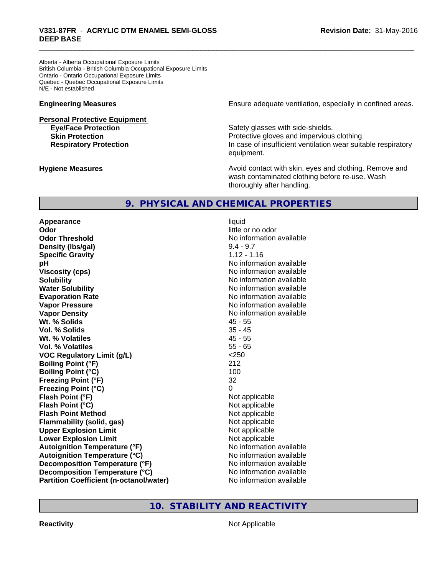Alberta - Alberta Occupational Exposure Limits British Columbia - British Columbia Occupational Exposure Limits Ontario - Ontario Occupational Exposure Limits Quebec - Quebec Occupational Exposure Limits N/E - Not established

# **Personal Protective Equipment**

**Engineering Measures Ensure** Ensure adequate ventilation, especially in confined areas.

**Eye/Face Protection Safety glasses with side-shields. Skin Protection Protection Protective gloves and impervious clothing. Respiratory Protection In case of insufficient ventilation wear suitable respiratory** equipment.

**Hygiene Measures Avoid contact with skin, eyes and clothing. Remove and Avoid contact with skin, eyes and clothing. Remove and Avoid contact with skin, eyes and clothing. Remove and** wash contaminated clothing before re-use. Wash thoroughly after handling.

#### **9. PHYSICAL AND CHEMICAL PROPERTIES**

**Appearance** liquid **Odor** little or no odor **Odor Threshold** No information available **Density (lbs/gal)** 9.4 - 9.7 **Specific Gravity** 1.12 - 1.16 **pH pH**  $\blacksquare$ **Viscosity (cps)** No information available **Solubility Note 2008 Note 2008 Note 2008 Note 2008 Note 2008 Note 2008 Note 2008 Note 2008 Note 2008 Note 2008 Note 2008 Note 2008 Note 2008 Note 2008 Note 2008 Note 2008 Note 2008 Note Water Solubility Water Solubility No information available Evaporation Rate No information available No information available Vapor Pressure** No information available in the North American Monte available in the North American available **Vapor Density No information available No information available Wt. % Solids** 45 - 55 **Vol. % Solids** 35 - 45 **Wt. % Volatiles** 45 - 55 **Vol. % Volatiles** 55 - 65 **VOC Regulatory Limit (g/L)** <250 **Boiling Point (°F)** 212 **Boiling Point (°C)** 100 **Freezing Point (°F)** 32 **Freezing Point (°C)** 0 **Flash Point (°F)** Not applicable **Flash Point (°C)** Not applicable **Flash Point Method** Not applicable **Flammability (solid, gas)** Not applicable **Upper Explosion Limit** Not applicable **Lower Explosion Limit Contract Accord Accord Accord Accord Accord Accord Accord Accord Accord Accord Accord Accord Accord Accord Accord Accord Accord Accord Accord Accord Accord Accord Accord Accord Accord Accord Accord Autoignition Temperature (°F)**<br> **Autoignition Temperature (°C)** No information available **Autoignition Temperature (°C) Decomposition Temperature (°F)** No information available **Decomposition Temperature (°C)** No information available **Partition Coefficient (n-octanol/water) No information available** 

#### **10. STABILITY AND REACTIVITY**

**Reactivity** Not Applicable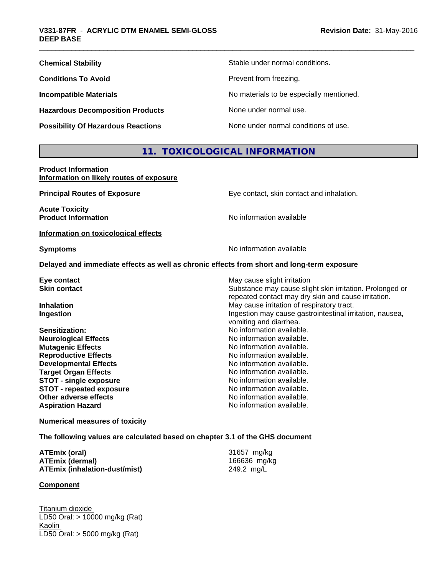| <b>Chemical Stability</b>                 | Stable under normal conditions.          |
|-------------------------------------------|------------------------------------------|
| <b>Conditions To Avoid</b>                | Prevent from freezing.                   |
| <b>Incompatible Materials</b>             | No materials to be especially mentioned. |
| <b>Hazardous Decomposition Products</b>   | None under normal use.                   |
| <b>Possibility Of Hazardous Reactions</b> | None under normal conditions of use.     |

## **11. TOXICOLOGICAL INFORMATION**

**Product Information Information on likely routes of exposure**

| <b>Principal Routes of Exposure</b>  | Eye contact, skin contact and inhalation.                                                  |
|--------------------------------------|--------------------------------------------------------------------------------------------|
| <b>Acute Toxicity</b>                |                                                                                            |
| <b>Product Information</b>           | No information available                                                                   |
| Information on toxicological effects |                                                                                            |
| <b>Symptoms</b>                      | No information available                                                                   |
|                                      | Delayed and immediate effects as well as chronic effects from short and long-term exposure |
| Eye contact                          | May cause slight irritation                                                                |
| <b>Skin contact</b>                  | Substance may cause slight skin irritation. Prolonged or                                   |
|                                      | repeated contact may dry skin and cause irritation.                                        |
| <b>Inhalation</b>                    | May cause irritation of respiratory tract.                                                 |
| Ingestion                            | Ingestion may cause gastrointestinal irritation, nausea,                                   |
|                                      | vomiting and diarrhea.                                                                     |
| Sensitization:                       | No information available.                                                                  |
| <b>Neurological Effects</b>          | No information available.                                                                  |
| <b>Mutagenic Effects</b>             | No information available.                                                                  |
| <b>Reproductive Effects</b>          | No information available.                                                                  |
| <b>Developmental Effects</b>         | No information available.                                                                  |
| <b>Target Organ Effects</b>          | No information available.                                                                  |
| <b>STOT - single exposure</b>        | No information available.                                                                  |
| <b>STOT - repeated exposure</b>      | No information available.                                                                  |
| Other adverse effects                | No information available.                                                                  |
| <b>Aspiration Hazard</b>             | No information available.                                                                  |
|                                      |                                                                                            |

**Numerical measures of toxicity**

**The following values are calculated based on chapter 3.1 of the GHS document**

| ATEmix (oral)                 | 31657 mg/kg  |
|-------------------------------|--------------|
| ATEmix (dermal)               | 166636 mg/kg |
| ATEmix (inhalation-dust/mist) | 249.2 mg/L   |

#### **Component**

Titanium dioxide LD50 Oral: > 10000 mg/kg (Rat) **Kaolin** LD50 Oral: > 5000 mg/kg (Rat)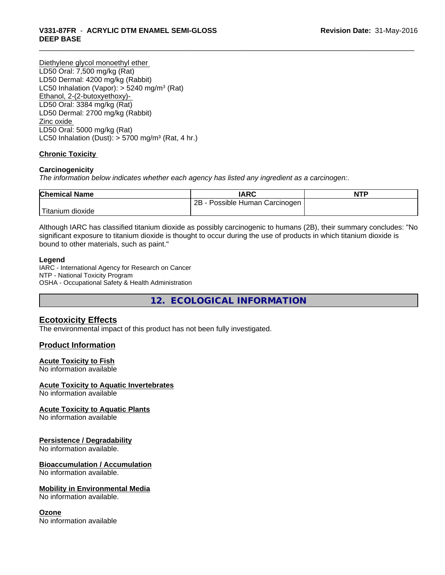# \_\_\_\_\_\_\_\_\_\_\_\_\_\_\_\_\_\_\_\_\_\_\_\_\_\_\_\_\_\_\_\_\_\_\_\_\_\_\_\_\_\_\_\_\_\_\_\_\_\_\_\_\_\_\_\_\_\_\_\_\_\_\_\_\_\_\_\_\_\_\_\_\_\_\_\_\_\_\_\_\_\_\_\_\_\_\_\_\_\_\_\_\_ **V331-87FR** - **ACRYLIC DTM ENAMEL SEMI-GLOSS DEEP BASE**

Diethylene glycol monoethyl ether LD50 Oral: 7,500 mg/kg (Rat) LD50 Dermal: 4200 mg/kg (Rabbit) LC50 Inhalation (Vapor): > 5240 mg/m<sup>3</sup> (Rat) Ethanol, 2-(2-butoxyethoxy)- LD50 Oral: 3384 mg/kg (Rat) LD50 Dermal: 2700 mg/kg (Rabbit) Zinc oxide LD50 Oral: 5000 mg/kg (Rat) LC50 Inhalation (Dust):  $> 5700$  mg/m<sup>3</sup> (Rat, 4 hr.)

#### **Chronic Toxicity**

#### **Carcinogenicity**

*The information below indicateswhether each agency has listed any ingredient as a carcinogen:.*

| <b>Chemical Name</b> | <b>IARC</b>                     | <b>NTP</b> |
|----------------------|---------------------------------|------------|
|                      | 2B<br>Possible Human Carcinogen |            |
| Titanium dioxide     |                                 |            |

Although IARC has classified titanium dioxide as possibly carcinogenic to humans (2B), their summary concludes: "No significant exposure to titanium dioxide is thought to occur during the use of products in which titanium dioxide is bound to other materials, such as paint."

#### **Legend**

IARC - International Agency for Research on Cancer NTP - National Toxicity Program OSHA - Occupational Safety & Health Administration

**12. ECOLOGICAL INFORMATION**

#### **Ecotoxicity Effects**

The environmental impact of this product has not been fully investigated.

#### **Product Information**

#### **Acute Toxicity to Fish**

No information available

#### **Acute Toxicity to Aquatic Invertebrates**

No information available

#### **Acute Toxicity to Aquatic Plants**

No information available

#### **Persistence / Degradability**

No information available.

#### **Bioaccumulation / Accumulation**

No information available.

#### **Mobility in Environmental Media**

No information available.

#### **Ozone**

No information available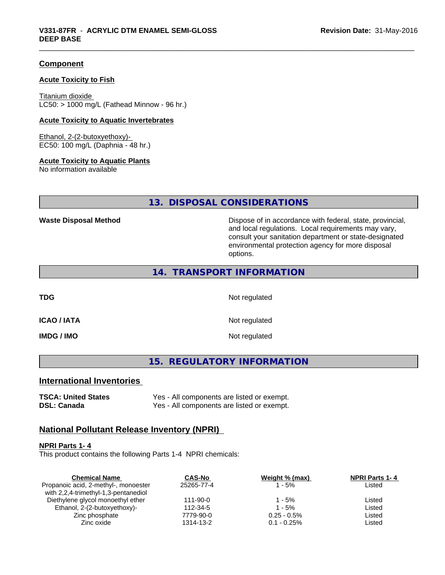#### **Component**

#### **Acute Toxicity to Fish**

Titanium dioxide  $LC50:$  > 1000 mg/L (Fathead Minnow - 96 hr.)

#### **Acute Toxicity to Aquatic Invertebrates**

Ethanol, 2-(2-butoxyethoxy)- EC50: 100 mg/L (Daphnia - 48 hr.)

#### **Acute Toxicity to Aquatic Plants**

No information available

#### **13. DISPOSAL CONSIDERATIONS**

**Waste Disposal Method Dispose of in accordance with federal, state, provincial,** and local regulations. Local requirements may vary, consult your sanitation department or state-designated environmental protection agency for more disposal options.

#### **14. TRANSPORT INFORMATION**

**TDG** Not regulated

**ICAO / IATA** Not regulated

**IMDG / IMO** Not regulated

**15. REGULATORY INFORMATION**

#### **International Inventories**

**TSCA: United States** Yes - All components are listed or exempt. **DSL: Canada** Yes - All components are listed or exempt.

#### **National Pollutant Release Inventory (NPRI)**

#### **NPRI Parts 1- 4**

This product contains the following Parts 1-4 NPRI chemicals:

| <b>CAS-No</b> | Weight % (max) | <b>NPRI Parts 1-4</b> |  |
|---------------|----------------|-----------------------|--|
| 25265-77-4    | 1 - 5%         | Listed                |  |
|               |                |                       |  |
| 111-90-0      | 1 - 5%         | Listed                |  |
| 112-34-5      | 1 - 5%         | Listed                |  |
| 7779-90-0     | $0.25 - 0.5\%$ | Listed                |  |
| 1314-13-2     | $0.1 - 0.25\%$ | Listed                |  |
|               |                |                       |  |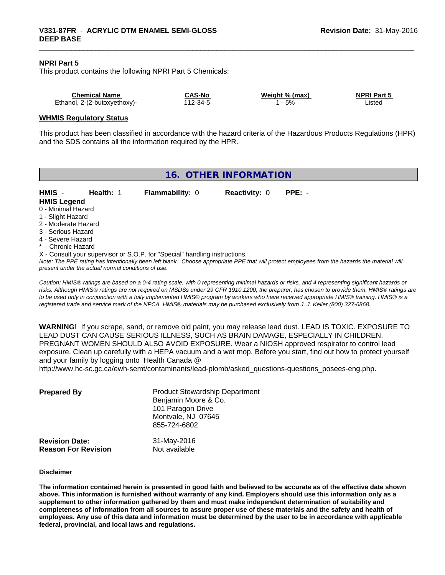#### **NPRI Part 5**

This product contains the following NPRI Part 5 Chemicals:

| <b>Chemical Name</b>         | <b>CAS-No</b> | Weight % (max) | <b>NPRI Part 5</b> |
|------------------------------|---------------|----------------|--------------------|
| Ethanol, 2-(2-butoxyethoxy)- | $12 - 34 - 5$ | 5%             | _isted             |

#### **WHMIS Regulatory Status**

This product has been classified in accordance with the hazard criteria of the Hazardous Products Regulations (HPR) and the SDS contains all the information required by the HPR.

| <b>Flammability: 0</b><br><b>Reactivity: 0</b><br>$PPE: -$<br>HMIS -<br>Health: 1<br><b>HMIS Legend</b><br>0 - Minimal Hazard<br>1 - Slight Hazard<br>2 - Moderate Hazard                                                                                                         | 16. OTHER INFORMATION |  |  |  |  |  |
|-----------------------------------------------------------------------------------------------------------------------------------------------------------------------------------------------------------------------------------------------------------------------------------|-----------------------|--|--|--|--|--|
|                                                                                                                                                                                                                                                                                   |                       |  |  |  |  |  |
|                                                                                                                                                                                                                                                                                   |                       |  |  |  |  |  |
|                                                                                                                                                                                                                                                                                   |                       |  |  |  |  |  |
| 3 - Serious Hazard<br>4 - Severe Hazard                                                                                                                                                                                                                                           |                       |  |  |  |  |  |
| * - Chronic Hazard                                                                                                                                                                                                                                                                |                       |  |  |  |  |  |
| X - Consult your supervisor or S.O.P. for "Special" handling instructions.<br>Note: The PPE rating has intentionally been left blank. Choose appropriate PPE that will protect employees from the hazards the material will<br>present under the actual normal conditions of use. |                       |  |  |  |  |  |

*Caution: HMISÒ ratings are based on a 0-4 rating scale, with 0 representing minimal hazards or risks, and 4 representing significant hazards or risks. Although HMISÒ ratings are not required on MSDSs under 29 CFR 1910.1200, the preparer, has chosen to provide them. HMISÒ ratings are to be used only in conjunction with a fully implemented HMISÒ program by workers who have received appropriate HMISÒ training. HMISÒ is a registered trade and service mark of the NPCA. HMISÒ materials may be purchased exclusively from J. J. Keller (800) 327-6868.*

**WARNING!** If you scrape, sand, or remove old paint, you may release lead dust. LEAD IS TOXIC. EXPOSURE TO LEAD DUST CAN CAUSE SERIOUS ILLNESS, SUCH AS BRAIN DAMAGE, ESPECIALLY IN CHILDREN. PREGNANT WOMEN SHOULD ALSO AVOID EXPOSURE. Wear a NIOSH approved respirator to control lead exposure. Clean up carefully with a HEPA vacuum and a wet mop. Before you start, find out how to protect yourself and your family by logging onto Health Canada @

http://www.hc-sc.gc.ca/ewh-semt/contaminants/lead-plomb/asked\_questions-questions\_posees-eng.php.

| <b>Prepared By</b>                                  | <b>Product Stewardship Department</b><br>Benjamin Moore & Co.<br>101 Paragon Drive<br>Montvale, NJ 07645<br>855-724-6802 |  |
|-----------------------------------------------------|--------------------------------------------------------------------------------------------------------------------------|--|
| <b>Revision Date:</b><br><b>Reason For Revision</b> | 31-May-2016<br>Not available                                                                                             |  |

#### **Disclaimer**

The information contained herein is presented in good faith and believed to be accurate as of the effective date shown above. This information is furnished without warranty of any kind. Employers should use this information only as a **supplement to other information gathered by them and must make independent determination of suitability and** completeness of information from all sources to assure proper use of these materials and the safety and health of employees. Any use of this data and information must be determined by the user to be in accordance with applicable **federal, provincial, and local laws and regulations.**